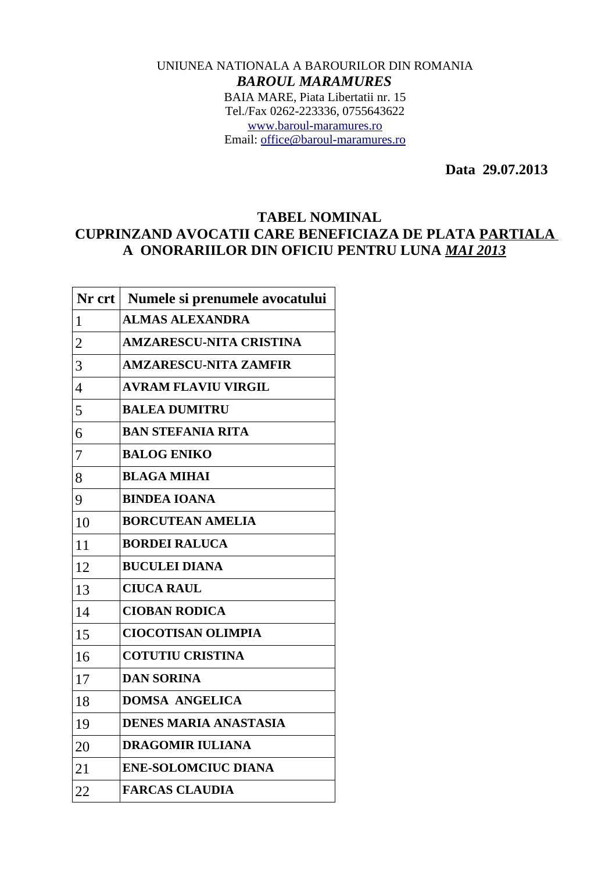## UNIUNEA NATIONALA A BAROURILOR DIN ROMANIA *BAROUL MARAMURES* BAIA MARE, Piata Libertatii nr. 15 Tel./Fax 0262-223336, 0755643622 [www.baroul-maramures.ro](http://www.baroul-maramures.ro/) Email: [office@baroul-maramures.ro](mailto:office@baroul-maramures.ro)

 **Data 29.07.2013**

## **TABEL NOMINAL**

## **CUPRINZAND AVOCATII CARE BENEFICIAZA DE PLATA PARTIALA A ONORARIILOR DIN OFICIU PENTRU LUNA** *MAI 2013*

| $Nr$ crt $ $   | Numele si prenumele avocatului |
|----------------|--------------------------------|
| 1              | <b>ALMAS ALEXANDRA</b>         |
| $\overline{2}$ | <b>AMZARESCU-NITA CRISTINA</b> |
| 3              | <b>AMZARESCU-NITA ZAMFIR</b>   |
| $\overline{4}$ | <b>AVRAM FLAVIU VIRGIL</b>     |
| 5              | <b>BALEA DUMITRU</b>           |
| 6              | <b>BAN STEFANIA RITA</b>       |
| 7              | <b>BALOG ENIKO</b>             |
| 8              | <b>BLAGA MIHAI</b>             |
| 9              | <b>BINDEA IOANA</b>            |
| 10             | <b>BORCUTEAN AMELIA</b>        |
| 11             | <b>BORDEI RALUCA</b>           |
| 12             | <b>BUCULEI DIANA</b>           |
| 13             | <b>CIUCA RAUL</b>              |
| 14             | <b>CIOBAN RODICA</b>           |
| 15             | <b>CIOCOTISAN OLIMPIA</b>      |
| 16             | <b>COTUTIU CRISTINA</b>        |
| 17             | <b>DAN SORINA</b>              |
| 18             | <b>DOMSA ANGELICA</b>          |
| 19             | <b>DENES MARIA ANASTASIA</b>   |
| 20             | <b>DRAGOMIR IULIANA</b>        |
| 21             | <b>ENE-SOLOMCIUC DIANA</b>     |
| 22             | <b>FARCAS CLAUDIA</b>          |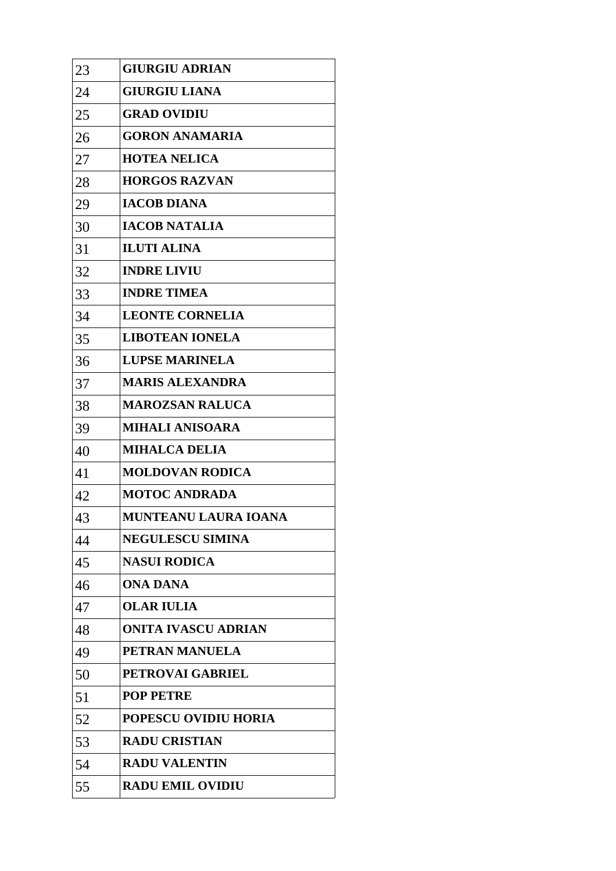| 23 | <b>GIURGIU ADRIAN</b>       |
|----|-----------------------------|
| 24 | <b>GIURGIU LIANA</b>        |
| 25 | <b>GRAD OVIDIU</b>          |
| 26 | <b>GORON ANAMARIA</b>       |
| 27 | <b>HOTEA NELICA</b>         |
| 28 | <b>HORGOS RAZVAN</b>        |
| 29 | <b>IACOB DIANA</b>          |
| 30 | <b>IACOB NATALIA</b>        |
| 31 | <b>ILUTI ALINA</b>          |
| 32 | <b>INDRE LIVIU</b>          |
| 33 | <b>INDRE TIMEA</b>          |
| 34 | <b>LEONTE CORNELIA</b>      |
| 35 | <b>LIBOTEAN IONELA</b>      |
| 36 | <b>LUPSE MARINELA</b>       |
| 37 | <b>MARIS ALEXANDRA</b>      |
| 38 | <b>MAROZSAN RALUCA</b>      |
| 39 | <b>MIHALI ANISOARA</b>      |
| 40 | <b>MIHALCA DELIA</b>        |
| 41 | <b>MOLDOVAN RODICA</b>      |
| 42 | <b>MOTOC ANDRADA</b>        |
| 43 | MUNTEANU LAURA IOANA        |
| 44 | <b>NEGULESCU SIMINA</b>     |
| 45 | <b>NASUI RODICA</b>         |
| 46 | ONA DANA                    |
| 47 | <b>OLAR IULIA</b>           |
| 48 | <b>ONITA IVASCU ADRIAN</b>  |
| 49 | PETRAN MANUELA              |
| 50 | PETROVAI GABRIEL            |
| 51 | <b>POP PETRE</b>            |
| 52 | <b>POPESCU OVIDIU HORIA</b> |
| 53 | <b>RADU CRISTIAN</b>        |
| 54 | <b>RADU VALENTIN</b>        |
| 55 | <b>RADU EMIL OVIDIU</b>     |